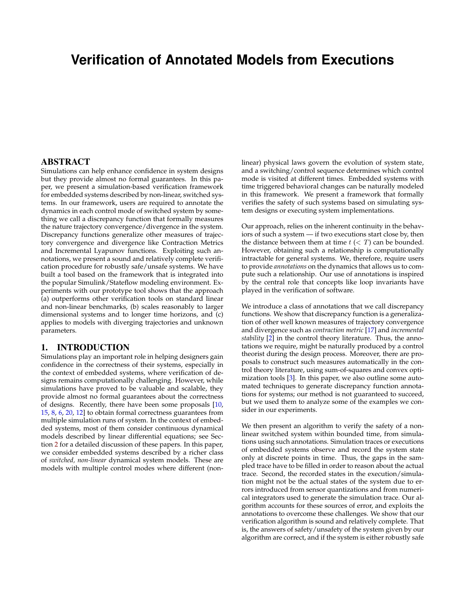# **Verification of Annotated Models from Executions**

#### ABSTRACT

Simulations can help enhance confidence in system designs but they provide almost no formal guarantees. In this paper, we present a simulation-based verification framework for embedded systems described by non-linear, switched systems. In our framework, users are required to annotate the dynamics in each control mode of switched system by something we call a discrepancy function that formally measures the nature trajectory convergence/divergence in the system. Discrepancy functions generalize other measures of trajectory convergence and divergence like Contraction Metrics and Incremental Lyapunov functions. Exploiting such annotations, we present a sound and relatively complete verification procedure for robustly safe/unsafe systems. We have built a tool based on the framework that is integrated into the popular Simulink/Stateflow modeling environment. Experiments with our prototype tool shows that the approach (a) outperforms other verification tools on standard linear and non-linear benchmarks, (b) scales reasonably to larger dimensional systems and to longer time horizons, and (c) applies to models with diverging trajectories and unknown parameters.

# 1. INTRODUCTION

Simulations play an important role in helping designers gain confidence in the correctness of their systems, especially in the context of embedded systems, where verification of designs remains computationally challenging. However, while simulations have proved to be valuable and scalable, they provide almost no formal guarantees about the correctness of designs. Recently, there have been some proposals [\[10,](#page-9-0) [15,](#page-9-1) [8,](#page-9-2) [6,](#page-9-3) [20,](#page-9-4) [12\]](#page-9-5) to obtain formal correctness guarantees from multiple simulation runs of system. In the context of embedded systems, most of them consider continuous dynamical models described by linear differential equations; see Section [2](#page-1-0) for a detailed discussion of these papers. In this paper, we consider embedded systems described by a richer class of *switched, non-linear* dynamical system models. These are models with multiple control modes where different (nonlinear) physical laws govern the evolution of system state, and a switching/control sequence determines which control mode is visited at different times. Embedded systems with time triggered behavioral changes can be naturally modeled in this framework. We present a framework that formally verifies the safety of such systems based on simulating system designs or executing system implementations.

Our approach, relies on the inherent continuity in the behaviors of such a system — if two executions start close by, then the distance between them at time  $t \, (<\, T)$  can be bounded. However, obtaining such a relationship is computationally intractable for general systems. We, therefore, require users to provide *annotations* on the dynamics that allows us to compute such a relationship. Our use of annotations is inspired by the central role that concepts like loop invariants have played in the verification of software.

We introduce a class of annotations that we call discrepancy functions. We show that discrepancy function is a generalization of other well known measures of trajectory convergence and divergence such as *contraction metric* [\[17\]](#page-9-6) and *incremental stability* [\[2\]](#page-9-7) in the control theory literature. Thus, the annotations we require, might be naturally produced by a control theorist during the design process. Moreover, there are proposals to construct such measures automatically in the control theory literature, using sum-of-squares and convex optimization tools [\[3\]](#page-9-8). In this paper, we also outline some automated techniques to generate discrepancy function annotations for systems; our method is not guaranteed to succeed, but we used them to analyze some of the examples we consider in our experiments.

We then present an algorithm to verify the safety of a nonlinear switched system within bounded time, from simulations using such annotations. Simulation traces or executions of embedded systems observe and record the system state only at discrete points in time. Thus, the gaps in the sampled trace have to be filled in order to reason about the actual trace. Second, the recorded states in the execution/simulation might not be the actual states of the system due to errors introduced from sensor quantizations and from numerical integrators used to generate the simulation trace. Our algorithm accounts for these sources of error, and exploits the annotations to overcome these challenges. We show that our verification algorithm is sound and relatively complete. That is, the answers of safety/unsafety of the system given by our algorithm are correct, and if the system is either robustly safe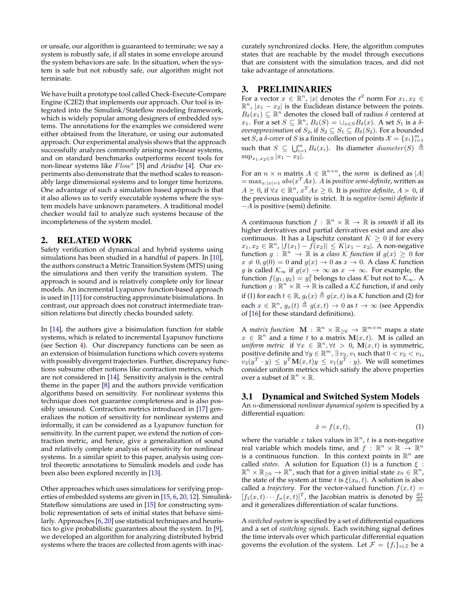or unsafe, our algorithm is guaranteed to terminate; we say a system is robustly safe, if all states in some envelope around the system behaviors are safe. In the situation, when the system is safe but not robustly safe, our algorithm might not terminate.

We have built a prototype tool called Check-Execute-Compare Engine (C2E2) that implements our approach. Our tool is integrated into the Simulink/Stateflow modeling framework, which is widely popular among designers of embedded systems. The annotations for the examples we considered were either obtained from the literature, or using our automated approach. Our experimental analysis shows that the approach successfully analyzes commonly arising non-linear systems, and on standard benchmarks outperforms recent tools for non-linear systems like  $Flow^*$  [\[5\]](#page-9-9) and *Ariadne* [\[4\]](#page-9-10). Our experiments also demonstrate that the method scales to reasonably large dimensional systems and to longer time horizons. One advantage of such a simulation based approach is that it also allows us to verify executable systems where the system models have unknown parameters. A traditional model checker would fail to analyze such systems because of the incompleteness of the system model.

### <span id="page-1-0"></span>2. RELATED WORK

Safety verification of dynamical and hybrid systems using simulations has been studied in a handful of papers. In [\[10\]](#page-9-0), the authors construct a Metric Transition System (MTS) using the simulations and then verify the transition system. The approach is sound and is relatively complete only for linear models. An incremental Lyapunov function-based approach is used in [\[11\]](#page-9-11) for constructing approximate bisimulations. In contrast, our approach does not construct intermediate transition relations but directly checks bounded safety.

In [\[14\]](#page-9-12), the authors give a bisimulation function for stable systems, which is related to incremental Lyapunov functions (see Section [4\)](#page-2-0). Our discrepancy functions can be seen as an extension of bisimulation functions which covers systems with possibly divergent trajectories. Further, discrepancy functions subsume other notions like contraction metrics, which are not considered in [\[14\]](#page-9-12). Sensitivity analysis is the central theme in the paper [\[8\]](#page-9-2) and the authors provide verification algorithms based on sensitivity. For nonlinear systems this technique does not guarantee completeness and is also possibly unsound. Contraction metrics introduced in [\[17\]](#page-9-6) generalizes the notion of sensitivity for nonlinear systems and informally, it can be considered as a Lyapunov function for sensitivity. In the current paper, we extend the notion of contraction metric, and hence, give a generalization of sound and relatively complete analysis of sensitivity for nonlinear systems. In a similar spirit to this paper, analysis using control theoretic annotations to Simulink models and code has been also been explored recently in [\[13\]](#page-9-13).

Other approaches which uses simulations for verifying properties of embedded systems are given in [\[15,](#page-9-1) [6,](#page-9-3) [20,](#page-9-4) [12\]](#page-9-5). Simulink-Stateflow simulations are used in [\[15\]](#page-9-1) for constructing symbolic representation of sets of initial states that behave similarly. Approaches [\[6,](#page-9-3) [20\]](#page-9-4) use statistical techniques and heuristics to give probabilistic guarantees about the system. In [\[9\]](#page-9-14), we developed an algorithm for analyzing distributed hybrid systems where the traces are collected from agents with inaccurately synchronized clocks. Here, the algorithm computes states that are reachable by the model through executions that are consistent with the simulation traces, and did not take advantage of annotations.

# 3. PRELIMINARIES

For a vector  $x \in \mathbb{R}^n$ , |x| denotes the  $\ell^2$  norm For  $x_1, x_2 \in$  $\mathbb{R}^n$ ,  $|x_1 - x_2|$  is the Euclidean distance between the points.  $B_\delta(x_1) \subseteq \mathbb{R}^n$  denotes the closed ball of radius  $\delta$  centered at x<sub>1</sub>. For a set  $S \subseteq \mathbb{R}^n$ ,  $B_\delta(S) = \cup_{x \in S} B_\delta(x)$ . A set  $S_1$  is a  $\delta$ *overapproximation* of  $S_2$ , if  $S_2 \subseteq S_1 \subseteq B_\delta(S_2)$ . For a bounded set S, a  $\delta$ -cover of S is a finite collection of points  $\mathcal{X} = \{x_i\}_{i=1}^m$ such that  $S \subseteq \bigcup_{i=1}^{m} B_{\delta}(x_i)$ . Its diameter  $diameter(S) \triangleq$  $\sup_{x_1,x_2\in S} |x_1-x_2|$ .

For an  $n \times n$  matrix  $A \in \mathbb{R}^{n \times n}$ , the *norm* is defined as |A|  $=\max_{x:|x|=1}abs(x^TAx)$ . A is *positive semi-definite*, written as  $A ≥ 0$ , if  $\forall x ∈ ℝ<sup>n</sup>$ ,  $x<sup>T</sup>Ax ≥ 0$ . It is *positive definite*,  $A > 0$ , if the previous inequality is strict. It is *negative (semi) definite* if −A is positive (semi) definite.

A continuous function  $f : \mathbb{R}^n \times \mathbb{R} \to \mathbb{R}$  is *smooth* if all its higher derivatives and partial derivatives exist and are also continuous. It has a Lipschitz constant  $K \geq 0$  if for every  $x_1, x_2 \in \mathbb{R}^n$ ,  $|f(x_1) - \hat{f}(x_2)| \le K|x_1 - x_2|$ . A non-negative function  $g : \mathbb{R}^n \to \mathbb{R}$  is a *class K function* if  $g(x) \geq 0$  for  $x \neq 0, g(0) = 0$  and  $g(x) \to 0$  as  $x \to 0$ . A class K function g is called  $\mathcal{K}_{\infty}$  if  $g(x) \to \infty$  as  $x \to \infty$ . For example, the function  $f(y_1, y_2) = y_1^2$  belongs to class K but not to  $\mathcal{K}_{\infty}$ . A function  $g : \mathbb{R}^n \times \mathbb{R} \to \mathbb{R}$  is called a  $\mathcal{KL}$  function, if and only if (1) for each  $t\in\mathbb{R}$ ,  $g_t(x)\triangleq g(x,t)$  is a  ${\cal K}$  function and (2) for each  $x \in \mathbb{R}^n$ ,  $g_x(t) \triangleq g(x,t) \to 0$  as  $t \to \infty$  (see Appendix of [\[16\]](#page-9-15) for these standard definitions).

A *matrix function*  $\mathbf{M} : \mathbb{R}^n \times \mathbb{R}_{\geq 0} \to \mathbb{R}^{m \times m}$  maps a state  $x \in \mathbb{R}^n$  and a time t to a matrix  $\mathbf{M}(x,t)$ . M is called an *uniform metric* if  $\forall x \in \mathbb{R}^n, \forall t > 0$ ,  $\mathbf{M}(x,t)$  is symmetric, positive definite and  $\forall y \in \mathbb{R}^m, \exists v_2, v_1$  such that  $0 < v_2 < v_1$ ,  $\tilde{v}_2(y^T\cdot y)\,\leq\, y^T\mathbf{M}(x,t)y\,\leq\, v_1(y^T\cdot y).$  We will sometimes consider uniform metrics which satisfy the above properties over a subset of  $\mathbb{R}^n \times \mathbb{R}$ .

### 3.1 Dynamical and Switched System Models

An n-dimensional *nonlinear dynamical system* is specified by a differential equation:

<span id="page-1-1"></span>
$$
\dot{x} = f(x, t),\tag{1}
$$

where the variable x takes values in  $\mathbb{R}^n$ , t is a non-negative real variable which models time, and  $f : \mathbb{R}^n \times \mathbb{R} \to \mathbb{R}^n$ is a continuous function. In this context points in  $\mathbb{R}^n$  are called *states*. A solution for Equation [\(1\)](#page-1-1) is a function  $\xi$  :  $\mathbb{R}^n \times \mathbb{R}_{\geq 0} \to \mathbb{R}^n$ , such that for a given initial state  $x_0 \in \mathbb{R}^n$ , the state of the system at time t is  $\xi(x_0, t)$ . A solution is also called a *trajectory*. For the vector-valued function  $f(x, t) =$  $[f_1(x,t)\cdots f_n(x,t)]^T$ , the Jacobian matrix is denoted by  $\frac{\partial f}{\partial x}$ and it generalizes differentiation of scalar functions.

A *switched system* is specified by a set of differential equations and a set of *switching signals*. Each switching signal defines the time intervals over which particular differential equation governs the evolution of the system. Let  $\mathcal{F} = \{f_i\}_{i \in \mathcal{I}}$  be a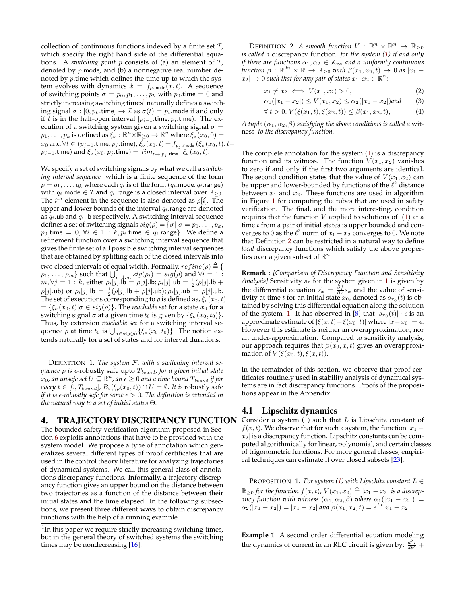collection of continuous functions indexed by a finite set  $\mathcal{I}$ , which specify the right hand side of the differential equations. A *switching point* p consists of (a) an element of I, denoted by p.mode, and (b) a nonnegative real number denoted by  $p$  time which defines the time up to which the system evolves with dynamics  $\dot{x} = f_{p \text{.mode}}(x, t)$ . A sequence of switching points  $\sigma = p_0, p_1, \ldots, p_k$  with  $p_0$  time  $= 0$  and strictly increasing switching times<sup>[1](#page-2-1)</sup> naturally defines a switching signal  $\sigma : [0, p_k \text{.time}] \to \mathcal{I}$  as  $\sigma(t) = p_i \text{.mode}$  if and only if t is in the half-open interval  $[p_{i-1}$  time,  $p_i$  time). The execution of a switching system given a switching signal  $\sigma =$  $p_1,\ldots,p_k$  is defined as  $\xi_\sigma:\mathbb{R}^n\times\mathbb{R}_{\geq 0}\to\mathbb{R}^n$  where  $\xi_\sigma(x_0,0)=0$  $x_0$  and  $\forall t\in (p_{j-1}.\mathsf{time}, p_j.\mathsf{time})$  ,  $\overline{\xi_\sigma}(x_0,t)=f_{p_j.\mathsf{mode}}\left(\xi_\sigma(x_0,t), t-\right)$  $p_{j-1}$ .time) and  $\xi_{\sigma}(x_0, p_j$ .time) =  $\lim_{t \to p_j} \xi_{\sigma}(x_0, t)$ .

We specify a set of switching signals by what we call a *switching interval sequence* which is a finite sequence of the form  $\rho = q_1, \ldots, q_k$  where each  $q_i$  is of the form  $(q_i$  mode,  $q_i$  range) with  $q_i$ .mode  $\in \mathcal{I}$  and  $q_i$ .range is a closed interval over  $\mathbb{R}_{\geq 0}$ . The  $i^{th}$  element in the sequence is also denoted as  $\rho[i]$ . The upper and lower bounds of the interval  $q_i$  range are denoted as  $q_i$ .ub and  $q_i$ . Ib respectively. A switching interval sequence defines a set of switching signals  $sig(\rho) = {\sigma | \sigma = p_0, \ldots, p_k,}$  $p_0$ .time = 0,  $\forall i \in 1 : k, p_i$ .time  $\in q_i$ .range}. We define a refinement function over a switching interval sequence that gives the finite set of all possible switching interval sequences that are obtained by splitting each of the closed intervals into two closed intervals of equal width. Formally,  $refine(\rho) \triangleq \{\rho\}$  $\rho_1, \ldots, \rho_m$ } such that  $\bigcup_{i=1:m} sig(\rho_i) = sig(\rho)$  and  $\forall i = 1$ :  $m, \forall j = 1 : k$ , either  $\rho_i[j]$ .lb =  $\rho[j]$ .lb;  $\rho_i[j]$ .ub =  $\frac{1}{2}(\rho[j]$ .lb +  $\rho[j]$ .ub) or  $\rho_i[j]$ .lb =  $\frac{1}{2}(\rho[j]$ .lb +  $\rho[j]$ .ub);  $\rho_i[j]$ .ub =  $\rho[j]$ .ub. The set of executions corresponding to  $\rho$  is defined as,  $\xi_{\rho}(x_0, t)$  $=\{\xi_{\sigma}(x_0,t)|\sigma \in sig(\rho)\}\.$  The *reachable set* for a state  $x_0$  for a switching signal  $\sigma$  at a given time  $t_0$  is given by  $\{\xi_{\sigma}(x_0,t_0)\}.$ Thus, by extension *reachable set* for a switching interval sequence  $\rho$  at time  $t_0$  is  $\bigcup_{\sigma \in sig(\rho)} \{\xi_{\sigma}(x_0, t_0)\}$ . The notion extends naturally for a set of states and for interval durations.

DEFINITION 1. *The system* F*, with a switching interval sequence ρ is*  $\epsilon$ -robustly safe upto  $T_{bound}$ , for a given initial state  $\hat{x}_0$ , an unsafe set  $U \subseteq \mathbb{R}^n$ , an  $\epsilon \geq 0$  and a time bound  $T_{bound}$  if for *every*  $t \in [0, T_{bound}]$ ,  $B_{\epsilon}(\xi_{\rho}(x_0, t)) \cap U = \emptyset$ . It is robustly safe *if it is*  $\epsilon$ -robustly safe for some  $\epsilon > 0$ . The definition is extended in *the natural way to a set of initial states* Θ*.*

#### <span id="page-2-0"></span>4. TRAJECTORY DISCREPANCY FUNCTION

The bounded safety verification algorithm proposed in Section [6](#page-4-0) exploits annotations that have to be provided with the system model. We propose a type of annotation which generalizes several different types of proof certificates that are used in the control theory literature for analyzing trajectories of dynamical systems. We call this general class of annotations discrepancy functions. Informally, a trajectory discrepancy function gives an upper bound on the distance between two trajectories as a function of the distance between their initial states and the time elapsed. In the following subsections, we present three different ways to obtain discrepancy functions with the help of a running example.

DEFINITION 2. A smooth function  $V : \mathbb{R}^n \times \mathbb{R}^n \to \mathbb{R}_{\geq 0}$ *is called a* discrepancy function *for the system [\(1\)](#page-1-1) if and only if there are functions*  $\alpha_1, \alpha_2 \in \mathcal{K}_{\infty}$  *and a uniformly continuous function*  $\beta$  :  $\mathbb{R}^{2n} \times \mathbb{R} \to \mathbb{R}_{\geq 0}$  *with*  $\beta(x_1, x_2, t) \to 0$  *as*  $|x_1 |x_2|\to 0$  such that for any pair of states  $x_1,x_2\in \mathbb{R}^n$ :

<span id="page-2-6"></span><span id="page-2-5"></span>
$$
x_1 \neq x_2 \iff V(x_1, x_2) > 0,\tag{2}
$$

$$
\alpha_1(|x_1 - x_2|) \le V(x_1, x_2) \le \alpha_2(|x_1 - x_2|) \text{ and } (3)
$$

<span id="page-2-4"></span>
$$
\forall t > 0. \ V(\xi(x_1, t), \xi(x_2, t)) \le \beta(x_1, x_2, t), \tag{4}
$$

*A tuple*  $(\alpha_1, \alpha_2, \beta)$  *satisfying the above conditions is called a wit*ness *to the discrepancy function.*

The complete annotation for the system [\(1\)](#page-1-1) is a discrepancy function and its witness. The function  $V(x_1, x_2)$  vanishes to zero if and only if the first two arguments are identical. The second condition states that the value of  $V(x_1, x_2)$  can be upper and lower-bounded by functions of the  $\ell^2$  distance between  $x_1$  and  $x_2$ . These functions are used in algorithm in Figure [1](#page-5-0) for computing the tubes that are used in safety verification. The final, and the more interesting, condition requires that the function  $V$  applied to solutions of  $(1)$  at a time  $t$  from a pair of initial states is upper bounded and converges to 0 as the  $\ell^2$  norm of  $x_1 - x_2$  converges to 0. We note that Definition [2](#page-2-2) can be restricted in a natural way to define *local* discrepancy functions which satisfy the above properties over a given subset of  $\mathbb{R}^n$ .

**Remark :** *[Comparison of Discrepancy Function and Sensitivity Analysis]* Sensitivity  $s_x$  for the system given in [1](#page-1-1) is given by the differential equation  $s_x = \frac{\partial f}{\partial x} s_x$  and the value of sensitivity at time  $t$  for an initial state  $x_0$ , denoted as  $s_{x_0}(t)$  is obtained by solving this differential equation along the solution of the system [1.](#page-1-1) It has observed in [\[8\]](#page-9-2) that  $|s_{x_0}(t)| \cdot \epsilon$  is an approximate estimate of  $|\xi(x,t)-\xi(x_0,t)|$  where  $|x-x_0|=\epsilon$ . However this estimate is neither an overapproximation, nor an under-approximation. Compared to sensitivity analysis, our approach requires that  $\beta(x_0, x, t)$  gives an overapproximation of  $V(\xi(x_0,t),\xi(x,t))$ .

In the remainder of this section, we observe that proof certificates routinely used in stability analysis of dynamical systems are in fact discrepancy functions. Proofs of the propositions appear in the Appendix.

### 4.1 Lipschitz dynamics

Consider a system  $(1)$  such that  $L$  is Lipschitz constant of  $f(x, t)$ . We observe that for such a system, the function  $|x_1$  $x_2$  is a discrepancy function. Lipschitz constants can be computed algorithmically for linear, polynomial, and certain classes of trigonometric functions. For more general classes, empirical techniques can estimate it over closed subsets [\[23\]](#page-9-16).

<span id="page-2-7"></span>PROPOSITION 1. For system  $(1)$  with Lipschitz constant  $L \in$  $\mathbb{R}_{\geq 0}$  for the function  $f(x,t)$ ,  $V(x_1,x_2) \triangleq |x_1-x_2|$  is a discrep*ancy function with witness*  $(\alpha_1, \alpha_2, \beta)$  *where*  $\alpha_1(|x_1 - x_2|)$  =  $\alpha_2(|x_1-x_2|) = |x_1-x_2|$  and  $\beta(x_1,x_2,t) = e^{Lt}|x_1-x_2|$ .

<span id="page-2-3"></span><span id="page-2-2"></span>**Example 1** A second order differential equation modeling the dynamics of current in an RLC circuit is given by:  $\frac{d^2i}{dt^2}$  +

<span id="page-2-1"></span> $1$ In this paper we require strictly increasing switching times, but in the general theory of switched systems the switching times may be nondecreasing [\[16\]](#page-9-15).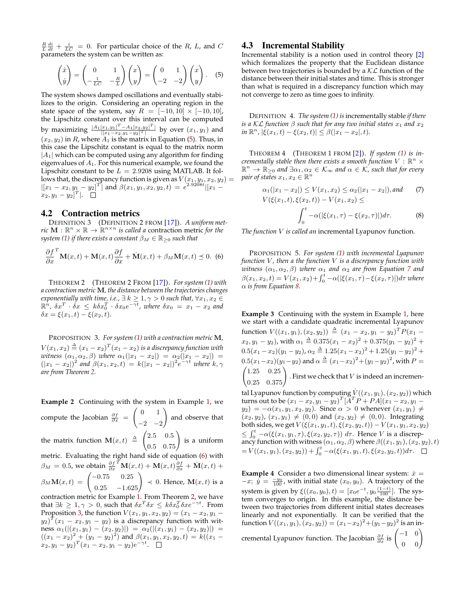$\frac{R}{L}\frac{di}{dt} + \frac{i}{LC} = 0$ . For particular choice of the R, L, and C parameters the system can be written as:

$$
\begin{pmatrix} \dot{x} \\ \dot{y} \end{pmatrix} = \begin{pmatrix} 0 & 1 \\ -\frac{1}{LC} & -\frac{R}{L} \end{pmatrix} \begin{pmatrix} x \\ y \end{pmatrix} = \begin{pmatrix} 0 & 1 \\ -2 & -2 \end{pmatrix} \begin{pmatrix} x \\ y \end{pmatrix}.
$$
 (5)

The system shows damped oscillations and eventually stabilizes to the origin. Considering an operating region in the state space of the system, say  $R = [-10, 10] \times [-10, 10]$ , the Lipschitz constant over this interval can be computed by maximizing  $\frac{|A_1[x_1,y_1]^T - A_1[x_2,y_2]^T|}{\frac{|[x_1-x_2]^T + [x_2,y_2]^T|}{\frac{|x_1-x_1|^T + [x_2,y_2]^T|}}$  $\frac{|x_1,y_1|^{-}-A_1|x_2,y_2|^{-}}{|x_1-x_2,y_1-y_2|^T|}$  by over  $(x_1,y_1)$  and  $(x_2, y_2)$  in R, where  $A_1$  is the matrix in Equation [\(5\)](#page-3-0). Thus, in this case the Lipschitz constant is equal to the matrix norm  $|A_1|$  which can be computed using any algorithm for finding eigenvalues of  $A_1$ . For this numerical example, we found the Lipschitz constant to be  $L = 2.9208$  using MATLAB. It follows that, the discrepancy function is given as  $V(x_1, y_1, x_2, y_2) =$  $|[x_1-x_2,y_1-y_2]^T$  and  $\beta(x_1,y_1,x_2,y_2,t) = e^{2.9208t} |[x_1-t_2^Tx_2,y_1,t_2^T]$  $[x_2, y_1-y_2]^T$ |.

# <span id="page-3-6"></span>4.2 Contraction metrics

DEFINITION 3 (DEFINITION 2 FROM [\[17\]](#page-9-6)). *A uniform metric*  $\mathbf{M} : \mathbb{R}^n \times \mathbb{R} \to \mathbb{R}^{n \times n}$  *is called a* contraction metric *for the system [\(1\)](#page-1-1) if there exists a constant*  $\beta_M \in \mathbb{R}_{\geq 0}$  *such that* 

$$
\frac{\partial f}{\partial x}^T \mathbf{M}(x,t) + \mathbf{M}(x,t) \frac{\partial f}{\partial x} + \dot{\mathbf{M}}(x,t) + \beta_M \mathbf{M}(x,t) \preceq 0.
$$
 (6)

<span id="page-3-1"></span>THEOREM 2 (THEOREM 2 FROM [\[17\]](#page-9-6)). *For system [\(1\)](#page-1-1) with a contraction metric* M*, the distance between the trajectories changes exponentially with time, i.e.,*  $\exists k \geq 1, \gamma > 0$  *such that,*  $\forall x_1, x_2 \in$  $\mathbb{R}^n$ ,  $\delta x^T \cdot \check{\delta x} \leq k \delta x_0^T \cdot \delta x_0 e^{-\gamma t}$ , where  $\delta x_0 = x_1 - x_2$  and  $\delta x = \xi(x_1, t) - \xi(x_2, t).$ 

<span id="page-3-3"></span>PROPOSITION 3. *For system [\(1\)](#page-1-1) with a contraction metric* M*,*  $V(x_1,x_2) \stackrel{\Delta}{=} (x_1-x_2)^T(x_1-x_2)$  is a discrepancy function with *witness*  $(\alpha_1, \alpha_2, \beta)$  *where*  $\alpha_1(|x_1 - x_2|) = \alpha_2(|x_1 - x_2|) =$  $(|x_1 - x_2|)^2$  and  $\beta(x_1, x_2, t) = k(|x_1 - x_2|)^2 e^{-\gamma t}$  where  $k, \gamma$ *are from Theorem [2.](#page-3-1)*

**Example 2** Continuing with the system in Example [1,](#page-2-3) we compute the Jacobian  $\frac{\partial f}{\partial x}$  =  $\begin{pmatrix} 0 & 1 \end{pmatrix}$  $-2$   $-2$ ! and observe that the matrix function  $\mathbf{M}(x,t) \triangleq \begin{pmatrix} 2.5 & 0.5 \\ 0.5 & 0.75 \end{pmatrix}$  is a uniform metric. Evaluating the right hand side of equation [\(6\)](#page-3-2) with  $\beta_M = 0.5$ , we obtain  $\frac{\partial f}{\partial x}^T \mathbf{M}(x,t) + \mathbf{M}(x,t) \frac{\partial f}{\partial x} + \dot{\mathbf{M}}(x,t) +$  $\beta_M \mathbf{M}(x,t) = \begin{pmatrix} -0.75 & 0.25 \\ 0.25 & -1.625 \end{pmatrix} \prec 0.$  Hence,  $\mathbf{M}(x,t)$  is a contraction metric for Example [1.](#page-2-3) From Theorem [2,](#page-3-1) we have that  $\exists k \geq 1, \gamma > 0$ , such that  $\delta x^T \delta x \leq k \delta x_0^T \delta x e^{-\gamma t}$ . From

# 4.3 Incremental Stability

<span id="page-3-0"></span>Incremental stability is a notion used in control theory [\[2\]](#page-9-7) which formalizes the property that the Euclidean distance between two trajectories is bounded by a  $KL$  function of the distance between their initial states and time. This is stronger than what is required in a discrepancy function which may not converge to zero as time goes to infinity.

DEFINITION 4. *The system [\(1\)](#page-1-1) is*incrementally stable *if there is a* KL function  $\beta$  *such that for any two initial states*  $x_1$  *and*  $x_2$  $\int \sin \mathbb{R}^n$ ,  $|\xi(x_1, t) - \xi(x_2, t)| \leq \beta(|x_1 - x_2|, t)$ .

<span id="page-3-9"></span>THEOREM 4 (THEOREM 1 FROM [\[2\]](#page-9-7)). *If system [\(1\)](#page-1-1) is incrementally stable then there exists a smooth function*  $V: \mathbb{R}^n \times$  $\mathbb{R}^n \to \mathbb{R}_{\geq 0}$  and  $\exists \alpha_1, \alpha_2 \in \mathcal{K}_\infty$  and  $\alpha \in \mathcal{K}$ , such that for every *pair of states*  $x_1, x_2 \in \mathbb{R}^n$ 

<span id="page-3-5"></span><span id="page-3-4"></span>
$$
\alpha_1(|x_1 - x_2|) \le V(x_1, x_2) \le \alpha_2(|x_1 - x_2|), \text{ and } \qquad (7)
$$
  

$$
V(\xi(x_1, t), \xi(x_2, t)) - V(x_1, x_2) \le
$$
  

$$
\int_0^t -\alpha(|\xi(x_1, \tau) - \xi(x_2, \tau)|)d\tau.
$$
 (8)

*The function* V *is called an* incremental Lyapunov function*.*

<span id="page-3-8"></span><span id="page-3-2"></span>PROPOSITION 5. *For system [\(1\)](#page-1-1) with incremental Lyapunov function* V *, then a the function* V *is a discrepancy function with witness*  $(\alpha_1, \alpha_2, \beta)$  *where*  $\alpha_1$  *and*  $\alpha_2$  *are from Equation [7](#page-3-4) and*  $\beta(x_1, x_2, t) = V(x_1, x_2) + \int_0^t -\alpha(|\xi(x_1, \tau) - \xi(x_2, \tau)|) d\tau$  where α *is from Equation [8.](#page-3-5)*

**Example 3** Continuing with the system in Example [1,](#page-2-3) here we start with a candidate quadratic incremental Lyapunov function  $V((x_1,y_1),(x_2,y_2)) \triangleq (x_1-x_2,y_1-y_2)^T P(x_1-x_2,y_2)$  $(x_2,y_1-y_2)$ , with  $\alpha_1 \stackrel{\Delta}{=} 0.375(x_1-x_2)^2+0.375(y_1-y_2)^2+$  $0.5(x_1-x_2)(y_1-y_2), \alpha_2 \triangleq 1.25(x_1-x_2)^2 + 1.25(y_1-y_2)^2 +$  $0.5(x_1-x_2)(y_1-y_2)$  and  $\alpha \triangleq (x_1-x_2)^2+(y_1-y_2)^2$ , with  $P=$  $\begin{pmatrix} 1.25 & 0.25 \\ 0.25 & 0.375 \end{pmatrix}$ . First we check that *V* is indeed an incremen-

tal Lyapunov function by computing  $\dot{V}((x_1, y_1), (x_2, y_2))$  which turns out to be  $(x_1 - x_2, y_1 - y_2)^T [\breve{A}^T \breve{P} + \overline{P}A](x_1 - x_2, y_1 - y_2)^T$  $y_2$ ) =  $-\alpha(x_1, y_1, x_2, y_2)$ . Since  $\alpha > 0$  whenever  $(x_1, y_1) \neq$  $(x_2, y_2), (x_1, y_1) \neq (0, 0)$  and  $(x_2, y_2) \neq (0, 0)$ . Integrating both sides, we get  $V(\xi(x_1, y_1, t), \xi(x_2, y_2, t)) - V(x_1, y_1, x_2, y_2)$  $\leq \int_0^t -\alpha(\xi(x_1, y_1, \tau), \xi(x_2, y_2, \tau)) d\tau$ . Hence V is a discrepancy function with witness  $(\alpha_1, \alpha_2, \beta)$  where  $\beta((x_1, y_1), (x_2, y_2), t)$  $= V((x_1,y_1), (x_2,y_2)) + \int_0^t -\alpha(\xi(x_1,y_1,t), \xi(x_2,y_2,t))d\tau.$ 

<span id="page-3-7"></span>**Example 4** Consider a two dimensional linear system:  $\dot{x}$  =  $-x; \hat{y} = \frac{-y_0}{100}$ , with initial state  $(x_0, y_0)$ . A trajectory of the system is given by  $\xi((x_0, y_0), t) = [x_0 e^{-t}, y_0 \frac{(1-t)}{100}]$ . The system converges to origin. In this example, the distance between two trajectories from different initial states decreases linearly and not exponentially. It can be verified that the function  $V((x_1,y_1), (x_2,y_2)) = (x_1-x_2)^2 + (y_1-y_2)^2$  is an incremental Lyapunov function. The Jacobian  $\frac{\partial f}{\partial x}$  is  $\begin{pmatrix} -1 & 0 \\ 0 & 0 \end{pmatrix}$ 

Proposition [3,](#page-3-3) the function  $V(x_1, y_1, x_2, y_2) = (x_1 - x_2, y_1 (y_2)^T(x_1-x_2,y_1-y_2)$  is a discrepancy function with wit- $\text{ness} \,\, \alpha_1 (|(x_1,y_1)-(x_2,y_2)|) \,\, = \,\, \alpha_2 (|(x_1,y_1)-(x_2,y_2)|) \,\, =$  $((x_1 - x_2)^2 + (y_1 - y_2)^2)$  and  $\beta(x_1, y_1, x_2, y_2, t) = k((x_1 - t_1)^2 + (y_1 - y_2)^2)$  $(x_2,y_1-y_2)^T(x_1-x_2,y_1-y_2)e^{-\gamma t}.$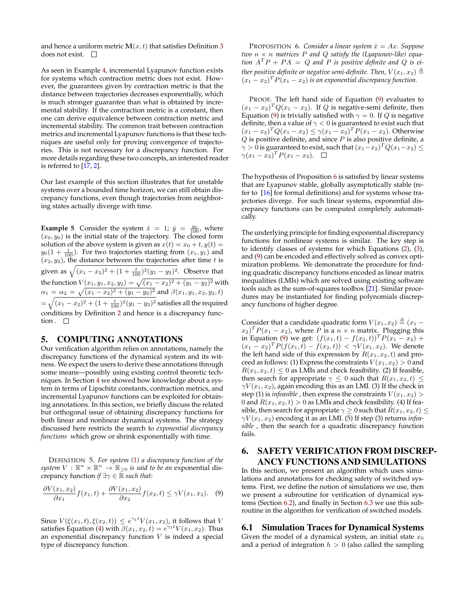and hence a uniform metric  $\mathbf{M}(x, t)$  that satisfies Definition [3](#page-3-6) does not exist.  $\square$ 

As seen in Example [4,](#page-3-7) incremental Lyapunov function exists for systems which contraction metric does not exist. However, the guarantees given by contraction metric is that the distance between trajectories decreases exponentially, which is much stronger guarantee than what is obtained by incremental stability. If the contraction metric is a constant, then one can derive equivalence between contraction metric and incremental stability. The common trait between contraction metrics and incremental Lyapunov functions is that these techniques are useful only for proving convergence of trajectories. This is not necessary for a discrepancy function. For more details regarding these two concepts, an interested reader is referred to [\[17,](#page-9-6) [2\]](#page-9-7).

Our last example of this section illustrates that for unstable systems over a bounded time horizon, we can still obtain discrepancy functions, even though trajectories from neighboring states actually diverge with time.

**Example 5** Consider the system  $\dot{x} = 1$ ;  $\dot{y} = \frac{y_0}{100}$ , where  $(x_0, y_0)$  is the initial state of the trajectory. The closed form solution of the above system is given as  $x(t) = x_0 + t$ ,  $y(t) =$  $y_0(1 + \frac{t}{100})$ . For two trajectories starting from  $(x_1, y_1)$  and  $(x_2, y_2)$ , the distance between the trajectories after time t is given as  $\sqrt{(x_1-x_2)^2 + (1 + \frac{t}{100})^2(y_1-y_2)^2}$ . Observe that the function  $V(x_1,y_1,x_2,y_2) = \sqrt{(x_1-x_2)^2+(y_1-y_2)^2}$  with  $\alpha_1 = \alpha_2 = \sqrt{(x_1 - x_2)^2 + (y_1 - y_2)^2}$  and  $\beta(x_1, y_1, x_2, y_2, t)$  $=\sqrt{(x_1-x_2)^2+(1+\frac{t}{100})^2(y_1-y_2)^2}$  satisfies all the required conditions by Definition [2](#page-2-2) and hence is a discrepancy function .  $\Box$ 

# 5. COMPUTING ANNOTATIONS

Our verification algorithm relies on annotations, namely the discrepancy functions of the dynamical system and its witness. We expect the users to derive these annotations through some means—possibly using existing control theoretic techniques. In Section [4](#page-2-0) we showed how knowledge about a system in terms of Lipschitz constants, contraction metrics, and incremental Lyapunov functions can be exploited for obtaining annotations. In this section, we briefly discuss the related but orthogonal issue of obtaining discrepancy functions for both linear and nonlinear dynamical systems. The strategy discussed here restricts the search to *exponential discrepancy functions* which grow or shrink exponentially with time.

DEFINITION 5. *For system [\(1\)](#page-1-1) a discrepancy function of the system*  $V : \mathbb{R}^n \times \mathbb{R}^n \to \mathbb{R}_{\geq 0}$  *is said to be an exponential dis*crepancy function *if* ∃γ ∈ R *such that:*

<span id="page-4-1"></span>
$$
\frac{\partial V(x_1, x_2)}{\partial x_1} f(x_1, t) + \frac{\partial V(x_1, x_2)}{\partial x_2} f(x_2, t) \le \gamma V(x_1, x_2). \tag{9}
$$

<span id="page-4-2"></span>Since  $V(\xi(x_1,t), \xi(x_2,t)) \leq e^{\gamma_1 t} V(x_1,x_2)$ , it follows that V satisfies Equation [\(4\)](#page-2-4) with  $\beta(x_1, x_2, t) = e^{\gamma_1 t} V(x_1, x_2)$ . Thus an exponential discrepancy function  $V$  is indeed a special type of discrepancy function.

PROPOSITION 6. *Consider a linear system*  $\dot{x} = Ax$ *. Suppose two* n × n *matrices* P *and* Q *satisfy the (Lyapunov-like) equation*  $A^T P + P A = Q$  and P *is positive definite and* Q *is ei*ther positive definite or negative semi-definite. Then,  $V(x_1,x_2) \triangleq 0$  $(x_1 - x_2)^T P(x_1 - x_2)$  *is an exponential discrepancy function.* 

PROOF. The left hand side of Equation [\(9\)](#page-4-1) evaluates to  $(x_1 - x_2)^T Q (x_1 - x_2)$ . If Q is negative-semi definite, then Equation [\(9\)](#page-4-1) is trivially satisfied with  $\gamma = 0$ . If Q is negative definite, then a value of  $\gamma < 0$  is guaranteed to exist such that  $(x_1 - x_2)^T Q (x_1 - x_2) \le \gamma (x_1 - x_2)^T P (x_1 - x_2)$ . Otherwise  $Q$  is positive definite, and since  $P$  is also positive definite, a  $\gamma > 0$  is guaranteed to exist, such that  $(x_1 - x_2)^T Q (x_1 - x_2) \leq 1$  $\gamma (x_1 - x_2)^T P(x_1 - x_2)$ .

The hypothesis of Proposition  $6$  is satisfied by linear systems that are Lyapunov stable, globally asymptotically stable (refer to [\[16\]](#page-9-15) for formal definitions) and for systems whose trajectories diverge. For such linear systems, exponential discrepancy functions can be computed completely automatically.

The underlying principle for finding exponential discrepancy functions for nonlinear systems is similar. The key step is to identify classes of systems for which Equations [\(2\)](#page-2-5), [\(3\)](#page-2-6), and [\(9\)](#page-4-1) can be encoded and effectively solved as convex optimization problems. We demonstrate the procedure for finding quadratic discrepancy functions encoded as linear matrix inequalities (LMIs) which are solved using existing software tools such as the sum-of-squares toolbox [\[21\]](#page-9-17). Similar procedures may be instantiated for finding polynomials discrepancy functions of higher degree.

Consider that a candidate quadratic form  $V(x_1, x_2) \triangleq (x_1 - x_2)$  $(x_2)^T P(x_1 - x_2)$ , where P is a  $n \times n$  matrix. Plugging this in Equation [\(9\)](#page-4-1) we get:  $(f(x_1,t) - f(x_2,t))^T P(x_1 - x_2)$  +  $(x_1 - x_2)^T P(f(x_1, t) - f(x_2, t)) < \gamma V(x_1, x_2)$ . We denote the left hand side of this expression by  $R(x_1, x_2, t)$  and proceed as follows: (1) Express the constraints  $V(x_1, x_2) > 0$  and  $R(x_1, x_2, t) \leq 0$  as LMIs and check feasibility. (2) If feasible, then search for appropriate  $\gamma \leq 0$  such that  $R(x_1, x_2, t) \leq$  $\gamma V(x_1, x_2)$ , again encoding this as an LMI. (3) If the check in step (1) is *infeasible*, then express the constraints  $V(x_1, x_2)$ 0 and  $R(x_1, x_2, t) > 0$  as LMIs and check feasibility. (4) If feasible, then search for appropriate  $\gamma \geq 0$  such that  $R(x_1, x_2, t) \leq$  $\gamma V(x_1, x_2)$  encoding it as an LMI. (5) If step (3) returns *infeasible* , then the search for a quadratic discrepancy function fails.

# <span id="page-4-0"></span>6. SAFETY VERIFICATION FROM DISCREP-ANCY FUNCTIONS AND SIMULATIONS

In this section, we present an algorithm which uses simulations and annotations for checking safety of switched systems. First, we define the notion of simulations we use, then we present a subroutine for verification of dynamical systems (Section [6.2\)](#page-5-1), and finally in Section [6.3](#page-6-0) we use this subroutine in the algorithm for verification of switched models.

#### <span id="page-4-3"></span>6.1 Simulation Traces for Dynamical Systems

Given the model of a dynamical system, an initial state  $x_0$ and a period of integration  $h > 0$  (also called the sampling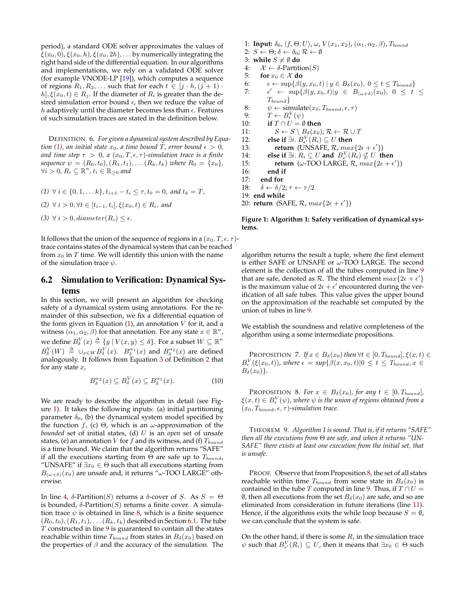period), a standard ODE solver approximates the values of  $\xi(x_0, 0), \xi(x_0, h), \xi(x_0, 2h), \ldots$  by numerically integrating the right hand side of the differential equation. In our algorithms and implementations, we rely on a validated ODE solver (for example VNODE-LP [\[19\]](#page-9-18)), which computes a sequence of regions  $R_1, R_2, \ldots$  such that for each  $t \in [j \cdot h, (j+1) \cdot$  $h, \xi(x_0, t) \in R_i$ . If the diameter of  $R_i$  is greater than the desired simulation error bound  $\epsilon$ , then we reduce the value of h adaptively until the diameter becomes less than  $\epsilon$ . Features of such simulation traces are stated in the definition below.

DEFINITION 6. *For given a dynamical system described by Equa-tion [\(1\)](#page-1-1), an initial state*  $x_0$ *, a time bound*  $T$ *, error bound*  $\epsilon > 0$ *, and time step*  $\tau > 0$ , *a*  $(x_0, T, \epsilon, \tau)$ *-simulation trace is a finite sequence*  $\psi = (R_0, t_0), (R_1, t_1), \ldots (R_k, t_k)$  *where*  $R_0 = \{x_0\}$ *,*  $\forall i > 0$ ,  $R_i$  ⊆  $\mathbb{R}^n$ ,  $t_i$  ∈  $\mathbb{R}_{\geq 0}$  and

(1) 
$$
\forall i \in \{0, 1, \ldots k\}, t_{i+1} - t_i \le \tau, t_0 = 0, \text{ and } t_k = T,
$$
  
\n(2)  $\forall i > 0, \forall t \in [t_{i-1}, t_i], \xi(x_0, t) \in R_i, \text{ and}$   
\n(3)  $\forall i > 0, \text{diameter}(R_i) \le \epsilon.$ 

It follows that the union of the sequence of regions in a  $(x_0, T, \epsilon, \tau)$ trace contains states of the dynamical system that can be reached from  $x_0$  in  $T$  time. We will identify this union with the name of the simulation trace  $\psi$ .

# <span id="page-5-1"></span>6.2 Simulation to Verification: Dynamical Systems

In this section, we will present an algorithm for checking safety of a dynamical system using annotations. For the remainder of this subsection, we fix a differential equation of the form given in Equation  $(1)$ , an annotation  $V$  for it, and a witness  $(\alpha_1, \alpha_2, \beta)$  for that annotation. For any state  $x \in \mathbb{R}^n$ , we define  $B^V_\delta(x) \triangleq \{y \ | \ V(x,y) \leq \delta\}.$  For a subset  $W \subseteq \mathbb{R}^n$  $B_{\delta}^V(W) \triangleq \cup_{x \in W} B_{\delta}^V(x)$ .  $B_{\delta}^{\alpha_1}(x)$  and  $B_{\delta}^{\alpha_2}(x)$  are defined analogously. It follows from Equation [3](#page-2-6) of Definition [2](#page-2-2) that for any state  $x$ ,

$$
B_{\delta}^{\alpha_2}(x) \subseteq B_{\delta}^V(x) \subseteq B_{\delta}^{\alpha_1}(x). \tag{10}
$$

We are ready to describe the algorithm in detail (see Figure [1\)](#page-5-0). It takes the following inputs: (a) initial partitioning parameter  $\delta_0$ , (b) the dynamical system model specified by the function f, (c)  $\Theta$ , which is an ω-approximation of the *bounded* set of initial states, (d) U is an *open* set of unsafe states, (e) an annotation  $V$  for  $f$  and its witness, and (f)  $T_{bound}$ is a time bound. We claim that the algorithm returns "SAFE" if all the executions starting from  $\Theta$  are safe up to  $T_{bound}$ , "UNSAFE" if  $\exists x_0 \in \Theta$  such that all executions starting from  $B_{(\omega+\delta)}(x_0)$  are unsafe and, it returns " $\omega$ -TOO LARGE" otherwise.

In line [4,](#page-5-2) δ-Partition(S) returns a δ-cover of S. As  $S = \Theta$ is bounded,  $\delta$ -Partition(S) returns a finite cover. A simulation trace  $\psi$  is obtained in line [8,](#page-5-3) which is a finite sequence  $(R_0, t_0), (R_1, t_1), \ldots (R_k, t_k)$  described in Section [6.1.](#page-4-3) The tube  $T$  constructed in line  $9$  is guaranteed to contain all the states reachable within time  $T_{bound}$  from states in  $B_\delta(x_0)$  based on the properties of  $\beta$  and the accuracy of the simulation. The

<span id="page-5-13"></span><span id="page-5-10"></span><span id="page-5-4"></span><span id="page-5-3"></span><span id="page-5-2"></span>1: **Input:**  $\delta_0$ ,  $\langle f, \Theta, U \rangle$ ,  $\omega$ ,  $V(x_1, x_2)$ ,  $(\alpha_1, \alpha_2, \beta)$ ,  $T_{bound}$ 2:  $S \leftarrow \Theta$ ;  $\delta \leftarrow \delta_0$ ;  $\mathcal{R} \leftarrow \emptyset$ 3: **while**  $S \neq \emptyset$  **do** 4:  $\mathcal{X} \leftarrow \delta$ -Partition(S)<br>5: **for**  $x_0 \in \mathcal{X}$  **do** for  $x_0 \in \mathcal{X}$  do 6:  $\epsilon \leftarrow \sup \{ \beta(y, x_0, t) \mid y \in B_\delta(x_0), 0 \le t \le T_{bound} \}$ 7:  $\epsilon'$   $\leftarrow$  sup $\{\beta(y, x_0, t)|y \in B_{(\omega+\delta)}(x_0), 0 \leq t \leq$  $T_{bound}$ } 8:  $\psi \leftarrow \text{simulate}(x_0, T_{bound}, \epsilon, \tau)$ <br>9:  $T \leftarrow B^V(\psi)$ 9:  $T \leftarrow B_{\epsilon}^{V}(\psi)$ 10: **if**  $T \cap U = \emptyset$  **then** 11:  $S \leftarrow S \setminus B_{\delta}(x_0); \mathcal{R} \leftarrow \mathcal{R} \cup T$ <br>12: **else if**  $\exists i, B_{\delta}^{V}(R_i) \subseteq U$  then 12: **else if**  $\exists i$ .  $B_{\epsilon'}^V(R_i) \subseteq U$  **then** 13: **return** (UNSAFE,  $\mathcal{R}$ ,  $max\{2\epsilon + \epsilon'\}$ ) 14: **else if**  $\exists i. R_i \subseteq U$  and  $B_{\epsilon'}^V(R_i) \nsubseteq U$  then 15: **return** ( $\omega$ -TOO LARGE,  $\mathcal{R}$ ,  $max\{2\epsilon + \epsilon'\}$ ) 16: **end if** 17: **end for**<br>18:  $\delta \leftarrow \delta/2$  $\delta \leftarrow \delta/2; \tau \leftarrow \tau/2$ 19: **end while**

<span id="page-5-11"></span><span id="page-5-8"></span><span id="page-5-7"></span><span id="page-5-6"></span><span id="page-5-0"></span>20: **return** (SAFE,  $\mathcal{R}$ ,  $max\{2\epsilon + \epsilon'\}$ )

**Figure 1: Algorithm 1: Safety verification of dynamical systems.**

algorithm returns the result a tuple, where the first element is either SAFE or UNSAFE or  $\omega$ -TOO LARGE. The second element is the collection of all the tubes computed in line [9](#page-5-4) that are safe, denoted as  $R$ . The third element  $max\{2\epsilon + \epsilon'\}$ is the maximum value of  $2\epsilon + \epsilon'$  encountered during the verification of all safe tubes. This value gives the upper bound on the approximation of the reachable set computed by the union of tubes in line [9.](#page-5-4)

<span id="page-5-12"></span>We establish the soundness and relative completeness of the algorithm using a some intermediate propositions.

PROPOSITION 7. *If*  $x \in B_\delta(x_0)$  then  $\forall t \in [0, T_{bound}], \xi(x, t) \in$  $B_{\epsilon}^V(\xi(x_0,t))$ , where  $\epsilon = \sup{\{\beta(x,x_0,t)|0 \le t \le T_{bound}, x \in \mathbb{R}\}}$  $B_\delta(x_0)$ .

<span id="page-5-5"></span>PROPOSITION 8. For  $x \in B_\delta(x_0)$ , for any  $t \in [0, T_{bound}]$ ,  $\xi(x,t)\in B_{\epsilon}^{V}(\psi)$ , where  $\psi$  is the union of regions obtained from a  $(x_0, T_{bound}, \epsilon, \tau)$ -simulation trace.

<span id="page-5-9"></span>THEOREM 9. *Algorithm 1 is sound. That is, if it returns "SAFE" then all the executions from* Θ *are safe, and when it returns "UN-SAFE" there exists at least one execution from the initial set, that is unsafe.*

PROOF. Observe that from Proposition [8,](#page-5-5) the set of all states reachable within time  $T_{bound}$  from some state in  $B_\delta(x_0)$  is contained in the tube T computed in line [9.](#page-5-4) Thus, if  $T \cap U =$  $\emptyset$ , then all executions from the set  $B_\delta(x_0)$  are safe, and so are eliminated from consideration in future iterations (line [11\)](#page-5-6). Hence, if the algorithms exits the while loop because  $S = \emptyset$ , we can conclude that the system is safe.

On the other hand, if there is some  $R_i$  in the simulation trace  $\psi$  such that  $B_{\epsilon'}^V(R_i) \subseteq U$ , then it means that  $\exists x_0 \in \Theta$  such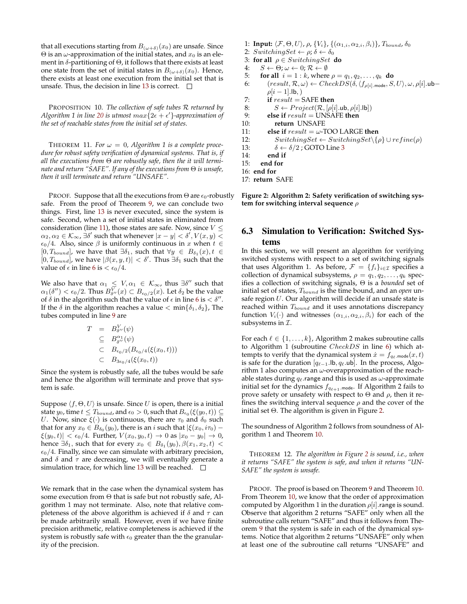that all executions starting from  $B_{(\omega+\delta)}(x_0)$  are unsafe. Since  $\Theta$  is an ω-approximation of the initial states, and  $x_0$  is an element in  $\delta$ -partitioning of  $\Theta$ , it follows that there exists at least one state from the set of initial states in  $B_{(\omega+\delta)}(x_0)$ . Hence, there exists at least one execution from the initial set that is unsafe. Thus, the decision in line [13](#page-5-7) is correct.  $\Box$ 

<span id="page-6-4"></span>PROPOSITION 10. *The collection of safe tubes* R *returned by* Algorithm 1 in line [20](#page-5-8) is utmost  $max\{2\epsilon + \epsilon'\}$ -approximation of *the set of reachable states from the initial set of states.*

THEOREM 11. For  $\omega = 0$ , Algorithm 1 is a complete proce*dure for robust safety verification of dynamical systems. That is, if all the executions from* Θ *are robustly safe, then the it will terminate and return "SAFE". If any of the executions from* Θ *is unsafe, then it will terminate and return "UNSAFE".*

PROOF. Suppose that all the executions from  $\Theta$  are  $\epsilon_0$ -robustly safe. From the proof of Theorem [9,](#page-5-9) we can conclude two things. First, line [13](#page-5-7) is never executed, since the system is safe. Second, when a set of initial states in eliminated from consideration (line [11\)](#page-5-6), those states are safe. Now, since  $V \leq$  $\alpha_2, \alpha_2 \in \mathcal{K}_{\infty}$ ,  $\exists \delta'$  such that whenever  $|x - y| < \delta', V(x, y) < \delta'$  $\epsilon_0/4$ . Also, since  $\beta$  is uniformly continuous in x when  $t \in$ [0,  $T_{bound}$ ], we have that  $\exists \delta_1$ , such that  $\forall y \in B_{\delta_1}(x)$ ,  $t \in$  $[0, T_{bound}]$ , we have  $|\beta(x, y, t)| < \delta'$ . Thus  $\exists \delta_1$  such that the value of  $\epsilon$  in line [6](#page-5-10) is  $< \epsilon_0/4$ .

We also have that  $\alpha_1 \leq V, \alpha_1 \in \mathcal{K}_{\infty}$ , thus  $\exists \delta''$  such that  $\alpha_1(\delta'') < \epsilon_0/2$ . Thus  $B_{\delta''}^V(x) \subset B_{\epsilon_0/2}(x)$ . Let  $\delta_2$  be the value of  $\delta$  in the algorithm such that the value of  $\epsilon$  in line [6](#page-5-10) is  $< \delta$ ". If the  $\delta$  in the algorithm reaches a value  $\langle$  min $\{\delta_1, \delta_2\}$ , The tubes computed in line [9](#page-5-4) are

$$
T = B_{\delta'}^{V}(\psi)
$$
  
\n
$$
\subseteq B_{\delta'}^{\alpha_1}(\psi)
$$
  
\n
$$
\subseteq B_{\epsilon_0/2}(B_{\epsilon_0/4}(\xi(x_0,t)))
$$
  
\n
$$
\subseteq B_{3\epsilon_0/4}(\xi(x_0,t))
$$

Since the system is robustly safe, all the tubes would be safe and hence the algorithm will terminate and prove that system is safe.

Suppose  $\langle f, \Theta, U \rangle$  is unsafe. Since U is open, there is a initial state  $y_0$ , time  $t \leq T_{bound}$ , and  $\epsilon_0 > 0$ , such that  $B_{\epsilon_0}(\xi(y_0,t)) \subseteq$ U. Now, since  $\xi(\cdot)$  is continuous, there are  $\tau_0$  and  $\delta_0$  such that for any  $x_0 \in B_{\delta_0}(y_0)$ , there is an  $i$  such that  $|\xi(x_0,i\tau_0) |\xi(y_0, t)| < \epsilon_0/4$ . Further,  $V(x_0, y_0, t) \to 0$  as  $|x_0 - y_0| \to 0$ , hence  $\exists \delta_1$ , such that for every  $x_0 \in B_{\delta_1}(y_0), \beta(x_1, x_2, t) <$  $\epsilon_0/4$ . Finally, since we can simulate with arbitrary precision, and  $\delta$  and  $\tau$  are decreasing, we will eventually generate a simulation trace, for which line [13](#page-5-7) will be reached.  $\square$ 

We remark that in the case when the dynamical system has some execution from  $\Theta$  that is safe but not robustly safe, Algorithm 1 may not terminate. Also, note that relative completeness of the above algorithm is achieved if  $\delta$  and  $\tau$  can be made arbitrarily small. However, even if we have finite precision arithmetic, relative completeness is achieved if the system is robustly safe with  $\epsilon_0$  greater than the the granularity of the precision.

- 1: **Input:**  $\langle \mathcal{F}, \Theta, U \rangle$ ,  $\rho$ ,  $\{V_i\}$ ,  $\{(\alpha_{1,i}, \alpha_{2,i}, \beta_i)\}$ ,  $T_{bound}$ ,  $\delta_0$
- 2: SwitchingSet  $\leftarrow \rho$ ;  $\delta \leftarrow \delta_0$
- <span id="page-6-1"></span>3: **for all**  $\rho \in SwitchingSet$  **do**
- 4:  $S \leftarrow \Theta$ ;  $\omega \leftarrow 0$ ;  $\mathcal{R} \leftarrow \emptyset$
- 5: **for all**  $i = 1 : k$ , where  $\rho = q_1, q_2, ..., q_k$  **do**
- <span id="page-6-6"></span><span id="page-6-2"></span>6:  $(result, \mathcal{R}, \omega) \leftarrow CheckDS(\delta, \langle f_{\rho[i], \text{mode}}, S, U \rangle, \omega, \rho[i].ub \rho[i-1]$ .lb,)
- 7: **if** result = SAFE **then**
- 8:  $S \leftarrow Project(R, [\rho[i].ub, \rho[i].lb])$ <br>9: **else if** result = UNSAFE **then**
- 9: **else if** result = UNSAFE **then**
- <span id="page-6-5"></span>10: **return** UNSAFE
- 11: **else if**  $result = \omega$ -TOO LARGE **then**
- 12:  $SwitchingSet \leftarrow SwitchingSet\setminus \{\rho\} \cup refine(\rho)$ <br>13:  $\delta \leftarrow \delta/2$ : GOTO Line 3
- 1[3](#page-6-1):  $\delta \leftarrow \delta/2$ ; GOTO Line 3<br>14: **end if**
- 
- 14: **end if** end for
- 16: **end for**
- 17: **return** SAFE
- <span id="page-6-3"></span>

**Figure 2: Algorithm 2: Safety verification of switching system for switching interval sequence** ρ

# <span id="page-6-0"></span>6.3 Simulation to Verification: Switched Systems

In this section, we will present an algorithm for verifying switched systems with respect to a set of switching signals that uses Algorithm 1. As before,  $\mathcal{F} = \{f_i\}_{i \in \mathcal{I}}$  specifies a collection of dynamical subsystems,  $\rho = q_1, q_2, \ldots, q_k$  specifies a collection of switching signals, Θ is a *bounded* set of initial set of states,  $T_{bound}$  is the time bound, and an *open* unsafe region  $U$ . Our algorithm will decide if an unsafe state is reached within  $T_{bound}$  and it uses annotations discrepancy function  $V_i(\cdot)$  and witnesses  $(\alpha_{1,i}, \alpha_{2,i}, \beta_i)$  for each of the subsystems in  $I$ .

For each  $\ell \in \{1, \ldots, k\}$  Algorithm 2 makes subroutine calls to Algorithm 1 (subroutine CheckDS in line [6\)](#page-6-2) which attempts to verify that the dynamical system  $\dot{x} = f_{q_\ell, \text{mode}}(x, t)$ is safe for the duration  $[q_{\ell-1}$ .lb,  $q_{\ell}$ .ub]. In the process, Algorithm 1 also computes an  $\omega$ -overapproximation of the reachable states during  $q_\ell$ .range and this is used as  $\omega$ -approximate initial set for the dynamics  $f_{q_{\ell+1}.\text{mode}}$ . If Algorithm 2 fails to prove safety or unsafety with respect to  $\Theta$  and  $\rho$ , then it refines the switching interval sequence  $\rho$  and the cover of the initial set Θ. The algorithm is given in Figure [2.](#page-6-3)

The soundness of Algorithm 2 follows from soundness of Algorithm 1 and Theorem [10.](#page-6-4)

THEOREM 12. *The algorithm in Figure [2](#page-6-3) is sound, i.e., when it returns "SAFE" the system is safe, and when it returns "UN-SAFE" the system is unsafe.*

PROOF. The proof is based on Theorem [9](#page-5-9) and Theorem [10.](#page-6-4) From Theorem [10,](#page-6-4) we know that the order of approximation computed by Algorithm 1 in the duration  $\rho[i]$ . range is sound. Observe that algorithm 2 returns "SAFE" only when all the subroutine calls return "SAFE" and thus it follows from Theorem [9](#page-5-9) that the system is safe in each of the dynamical systems. Notice that algorithm 2 returns "UNSAFE" only when at least one of the subroutine call returns "UNSAFE" and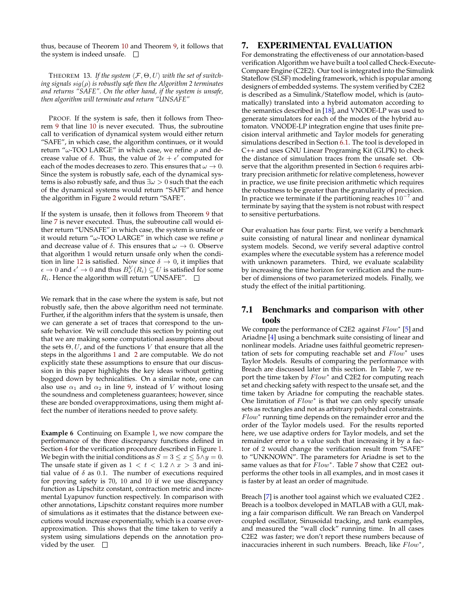thus, because of Theorem [10](#page-6-4) and Theorem [9,](#page-5-9) it follows that the system is indeed unsafe.  $\quad \Box$ 

THEOREM 13. If the system  $\langle \mathcal{F}, \Theta, U \rangle$  with the set of switch*ing signals* sig(ρ) *is robustly safe then the Algorithm 2 terminates and returns "SAFE". On the other hand, if the system is unsafe, then algorithm will terminate and return "UNSAFE"*

PROOF. If the system is safe, then it follows from Theorem [9](#page-5-9) that line [10](#page-6-5) is never executed. Thus, the subroutine call to verification of dynamical system would either return "SAFE", in which case, the algorithm continues, or it would return " $\omega$ -TOO LARGE" in which case, we refine  $\rho$  and decrease value of  $\delta$ . Thus, the value of  $2\epsilon + \epsilon'$  computed for each of the modes decreases to zero. This ensures that  $\omega \to 0$ . Since the system is robustly safe, each of the dynamical systems is also robustly safe, and thus  $\exists \omega > 0$  such that the each of the dynamical systems would return "SAFE" and hence the algorithm in Figure [2](#page-6-3) would return "SAFE".

If the system is unsafe, then it follows from Theorem [9](#page-5-9) that line [7](#page-6-6) is never executed. Thus, the subroutine call would either return "UNSAFE" in which case, the system is unsafe or it would return " $\omega$ -TOO LARGE" in which case we refine  $\rho$ and decrease value of  $\delta$ . This ensures that  $\omega \to 0$ . Observe that algorithm 1 would return unsafe only when the condi-tion in line [12](#page-5-11) is satisfied. Now since  $\delta \rightarrow 0$ , it implies that  $\epsilon \to 0$  and  $\epsilon' \to 0$  and thus  $B_{\epsilon'}^V(R_i) \subseteq U$  is satisfied for some  $R_i$ . Hence the algorithm will return "UNSAFE".  $\Box$ 

We remark that in the case where the system is safe, but not robustly safe, then the above algorithm need not terminate. Further, if the algorithm infers that the system is unsafe, then we can generate a set of traces that correspond to the unsafe behavior. We will conclude this section by pointing out that we are making some computational assumptions about the sets  $\Theta, U$ , and of the functions V that ensure that all the steps in the algorithms [1](#page-5-0) and [2](#page-6-3) are computable. We do not explicitly state these assumptions to ensure that our discussion in this paper highlights the key ideas without getting bogged down by technicalities. On a similar note, one can also use  $\alpha_1$  and  $\alpha_2$  in line [9,](#page-5-4) instead of V without losing the soundness and completeness guarantees; however, since these are bonded overapproximations, using them might affect the number of iterations needed to prove safety.

**Example 6** Continuing on Example [1,](#page-2-3) we now compare the performance of the three discrepancy functions defined in Section [4](#page-2-0) for the verification procedure described in Figure [1.](#page-5-0) We begin with the initial conditions as  $S = 3 \le x \le 5 \land y = 0$ . The unsafe state if given as  $1 < t < 1.2 \land x > 3$  and initial value of  $\delta$  as 0.1. The number of executions required for proving safety is 70, 10 and 10 if we use discrepancy function as Lipschitz constant, contraction metric and incremental Lyapunov function respectively. In comparison with other annotations, Lipschitz constant requires more number of simulations as it estimates that the distance between executions would increase exponentially, which is a coarse overapproximation. This shows that the time taken to verify a system using simulations depends on the annotation provided by the user.  $\square$ 

# <span id="page-7-0"></span>7. EXPERIMENTAL EVALUATION

For demonstrating the effectiveness of our annotation-based verification Algorithm we have built a tool called Check-Execute-Compare Engine (C2E2). Our tool is integrated into the Simulink Stateflow (SLSF) modeling framework, which is popular among designers of embedded systems. The system verified by C2E2 is described as a Simulink/Stateflow model, which is (automatically) translated into a hybrid automaton according to the semantics described in [\[18\]](#page-9-19), and VNODE-LP was used to generate simulators for each of the modes of the hybrid automaton. VNODE-LP integration engine that uses finite precision interval arithmetic and Taylor models for generating simulations described in Section [6.1.](#page-4-3) The tool is developed in C++ and uses GNU Linear Programing Kit (GLPK) to check the distance of simulation traces from the unsafe set. Observe that the algorithm presented in Section [6](#page-4-0) requires arbitrary precision arithmetic for relative completeness, however in practice, we use finite precision arithmetic which requires the robustness to be greater than the granularity of precision. In practice we terminate if the partitioning reaches  $10^{-7}$  and terminate by saying that the system is not robust with respect to sensitive perturbations.

Our evaluation has four parts: First, we verify a benchmark suite consisting of natural linear and nonlinear dynamical system models. Second, we verify several adaptive control examples where the executable system has a reference model with unknown parameters. Third, we evaluate scalability by increasing the time horizon for verification and the number of dimensions of two parameterized models. Finally, we study the effect of the initial partitioning.

# 7.1 Benchmarks and comparison with other tools

We compare the performance of C2E2 against  $Flow^*$  [\[5\]](#page-9-9) and Ariadne [\[4\]](#page-9-10) using a benchmark suite consisting of linear and nonlinear models. Ariadne uses faithful geometric representation of sets for computing reachable set and  $Flow^*$  uses Taylor Models. Results of comparing the performance with Breach are discussed later in this section. In Table [7,](#page-7-0) we report the time taken by  $Flow^*$  and C2E2 for computing reach set and checking safety with respect to the unsafe set, and the time taken by Ariadne for computing the reachable states. One limitation of  $Flow^*$  is that we can only specify unsafe sets as rectangles and not as arbitrary polyhedral constraints.  $Flow^*$  running time depends on the remainder error and the order of the Taylor models used. For the results reported here, we use adaptive orders for Taylor models, and set the remainder error to a value such that increasing it by a factor of 2 would change the verification result from "SAFE" to "UNKNOWN". The parameters for Ariadne is set to the same values as that for  $Flow^*$ . Table [7](#page-7-0) show that C2E2 outperforms the other tools in all examples, and in most cases it is faster by at least an order of magnitude.

Breach [\[7\]](#page-9-20) is another tool against which we evaluated C2E2 . Breach is a toolbox developed in MATLAB with a GUI, making a fair comparison difficult. We ran Breach on Vanderpol coupled oscillator, Sinusoidal tracking, and tank examples, and measured the "wall clock" running time. In all cases C2E2 was faster; we don't report these numbers because of inaccuracies inherent in such numbers. Breach, like  $Flow^*$ ,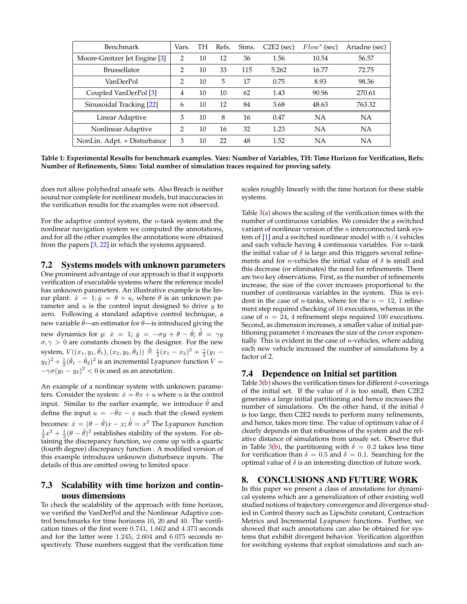| Benchmark                     | Vars.          | TН | Refs. | Sims. | $C2E2$ (sec) | $Flow^*$ (sec) | Ariadne (sec) |
|-------------------------------|----------------|----|-------|-------|--------------|----------------|---------------|
| Moore-Greitzer Jet Engine [3] | $\mathfrak{D}$ | 10 | 12    | 36    | 1.56         | 10.54          | 56.57         |
| <b>Brussellator</b>           | $\mathcal{P}$  | 10 | 33    | 115   | 5.262        | 16.77          | 72.75         |
| VanDerPol                     | $\mathcal{P}$  | 10 | 5     | 17    | 0.75         | 8.93           | 98.36         |
| Coupled VanDerPol [3]         | 4              | 10 | 10    | 62    | 1.43         | 90.96          | 270.61        |
| Sinusoidal Tracking [22]      | 6              | 10 | 12    | 84    | 3.68         | 48.63          | 763.32        |
| Linear Adaptive               | 3              | 10 | 8     | 16    | 0.47         | NA             | NA            |
| Nonlinear Adaptive            | $\mathcal{L}$  | 10 | 16    | 32    | 1.23         | NA             | NA            |
| NonLin. Adpt. + Disturbance   | 3              | 10 | 22    | 48    | 1.52         | NA             | <b>NA</b>     |

**Table 1: Experimental Results for benchmark examples. Vars: Number of Variables, TH: Time Horizon for Verification, Refs: Number of Refinements, Sims: Total number of simulation traces required for proving safety.**

does not allow polyhedral unsafe sets. Also Breach is neither sound nor complete for nonlinear models, but inaccuracies in the verification results for the examples were not observed.

For the adaptive control system, the  $n$ -tank system and the nonlinear navigation system we computed the annotations, and for all the other examples the annotations were obtained from the papers [\[3,](#page-9-8) [22\]](#page-9-21) in which the systems appeared.

7.2 Systems models with unknown parameters

One prominent advantage of our approach is that it supports verification of executable systems where the reference model has unknown parameters. An illustrative example is the linear plant:  $\dot{x} = 1$ ;  $\dot{y} = \theta + u$ , where  $\theta$  is an unknown parameter and  $u$  is the control input designed to drive  $y$  to zero. Following a standard adaptive control technique, a new variable  $\hat{\theta}$ —an estimator for  $\theta$ —is introduced giving the new dynamics for  $y$ :  $\dot{x} = 1$ ;  $\dot{y} = -\sigma y + \theta - \hat{\theta}$ ;  $\dot{\hat{\theta}} = \gamma y$  $\sigma, \gamma > 0$  are constants chosen by the designer. For the new system,  $V((x_1, y_1, \hat{\theta}_1), (x_2, y_2, \hat{\theta}_2)) \triangleq \frac{1}{2}(x_1 - x_2)^2 + \frac{\gamma}{2}(y_1 (y_2)^2+\frac{1}{2}(\hat{\theta}_1-\hat{\theta}_2)^2$  is an incremental Lyapunov function  $\dot{V}=0$  $-\gamma \sigma (y_1 - y_2)^2 < 0$  is used as an annotation.

An example of a nonlinear system with unknown parameters. Consider the system:  $\dot{x} = \theta x + u$  where u is the control input. Similar to the earlier example, we introduce  $\hat{\theta}$  and define the input  $u = -\hat{\theta}x - x$  such that the closed system becomes:  $\dot{x} = (\theta - \hat{\theta})x - x$ ;  $\dot{\hat{\theta}} = x^2$  The Lyapunov function  $\frac{1}{2}x^2 + \frac{1}{2}(\theta - \hat{\theta})^2$  establishes stability of the system. For obtaining the discrepancy function, we come up with a quartic (fourth degree) discrepancy function . A modified version of this example introduces unknown disturbance inputs. The details of this are omitted owing to limited space.

# 7.3 Scalability with time horizon and continuous dimensions

To check the scalability of the approach with time horizon, we verified the VanDerPol and the Nonlinear Adaptive control benchmarks for time horizons 10, 20 and 40. The verification times of the first were 0.741, 1.662 and 4.373 seconds and for the latter were 1.245, 2.604 and 6.075 seconds respectively. These numbers suggest that the verification time scales roughly linearly with the time horizon for these stable systems.

Table  $3(a)$  shows the scaling of the verification times with the number of continuous variables. We consider the a switched variant of nonlinear version of the  $n$  interconnected tank sys-tem of [\[1\]](#page-9-23) and a switched nonlinear model with  $n/4$  vehicles and each vehicle having 4 continuous variables. For n-tank the initial value of  $\delta$  is large and this triggers several refinements and for *n*-vehicles the initial value of  $\delta$  is small and this decrease (or eliminates) the need for refinements. There are two key observations. First, as the number of refinements increase, the size of the cover increases proportional to the number of continuous variables in the system. This is evident in the case of *n*-tanks, where for the  $n = 12$ , 1 refinement step required checking of 16 executions, whereas in the case of  $n = 24$ , 4 refinement steps required 100 executions. Second, as dimension increases, a smaller value of initial partitioning parameter  $\delta$  increases the size of the cover exponentially. This is evident in the case of  $n$ -vehicles, where adding each new vehicle increased the number of simulations by a factor of 2.

### 7.4 Dependence on Initial set partition

Table  $3(b)$  shows the verification times for different  $\delta$ -coverings of the initial set. If the value of  $\delta$  is too small, then C2E2 generates a large initial partitioning and hence increases the number of simulations. On the other hand, if the initial  $\delta$ is too large, then C2E2 needs to perform many refinements, and hence, takes more time. The value of optimum value of  $\delta$ clearly depends on that robustness of the system and the relative distance of simulations from unsafe set. Observe that in Table [3\(b\),](#page-9-24) the partitioning with  $\delta = 0.2$  takes less time for verification than  $\delta = 0.5$  and  $\delta = 0.1$ . Searching for the optimal value of  $\delta$  is an interesting direction of future work.

# 8. CONCLUSIONS AND FUTURE WORK

In this paper we present a class of annotations for dynamical systems which are a generalization of other existing well studied notions of trajectory convergence and divergence studied in Control theory such as Lipschitz constant, Contraction Metrics and Incremental Lyapunov functions. Further, we showed that such annotations can also be obtained for systems that exhibit divergent behavior. Verification algorithm for switching systems that exploit simulations and such an-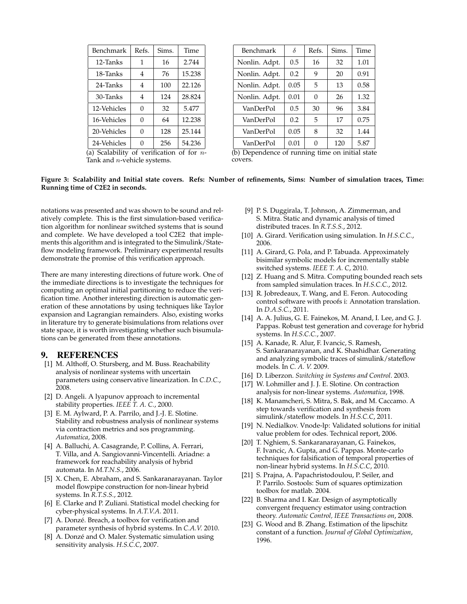<span id="page-9-22"></span>

| Benchmark                                               | Refs.          | Sims. | Time   |  |
|---------------------------------------------------------|----------------|-------|--------|--|
| 12-Tanks                                                | 1              | 16    | 2.744  |  |
| 18-Tanks                                                | 4              | 76    | 15.238 |  |
| 24-Tanks                                                | $\overline{4}$ | 100   | 22.126 |  |
| 30-Tanks                                                | 4              | 124   | 28.824 |  |
| 12-Vehicles                                             | $\Omega$       | 32    | 5.477  |  |
| 16-Vehicles                                             | $\Omega$       | 64    | 12.238 |  |
| 20-Vehicles                                             | $\Omega$       | 128   | 25.144 |  |
| 24-Vehicles                                             | 0              | 256   | 54.236 |  |
| (a) Scalability of verification of for $\overline{n}$ - |                |       |        |  |

Tank and *n*-vehicle systems.

<span id="page-9-24"></span>

| Benchmark     | $\delta$ | Refs.    | Sims. | Time |
|---------------|----------|----------|-------|------|
| Nonlin. Adpt. | 0.5      | 16       | 32    | 1.01 |
| Nonlin. Adpt. | 0.2      | 9        | 20    | 0.91 |
| Nonlin. Adpt. | 0.05     | 5        | 13    | 0.58 |
| Nonlin. Adpt. | 0.01     | $\Omega$ | 26    | 1.32 |
| VanDerPol     | 0.5      | 30       | 96    | 3.84 |
| VanDerPol     | 0.2      | 5        | 17    | 0.75 |
| VanDerPol     | 0.05     | 8        | 32    | 1.44 |
| VanDerPol     | 0.01     | 0        | 120   | 5.87 |

(b) Dependence of running time on initial state covers.

#### **Figure 3: Scalability and Initial state covers. Refs: Number of refinements, Sims: Number of simulation traces, Time: Running time of C2E2 in seconds.**

notations was presented and was shown to be sound and relatively complete. This is the first simulation-based verification algorithm for nonlinear switched systems that is sound and complete. We have developed a tool C2E2 that implements this algorithm and is integrated to the Simulink/Stateflow modeling framework. Preliminary experimental results demonstrate the promise of this verification approach.

There are many interesting directions of future work. One of the immediate directions is to investigate the techniques for computing an optimal initial partitioning to reduce the verification time. Another interesting direction is automatic generation of these annotations by using techniques like Taylor expansion and Lagrangian remainders. Also, existing works in literature try to generate bisimulations from relations over state space, it is worth investigating whether such bisumulations can be generated from these annotations.

### 9. REFERENCES

- <span id="page-9-23"></span>[1] M. Althoff, O. Stursberg, and M. Buss. Reachability analysis of nonlinear systems with uncertain parameters using conservative linearization. In *C.D.C.*, 2008.
- <span id="page-9-7"></span>[2] D. Angeli. A lyapunov approach to incremental stability properties. *IEEE T. A. C.*, 2000.
- <span id="page-9-8"></span>[3] E. M. Aylward, P. A. Parrilo, and J.-J. E. Slotine. Stability and robustness analysis of nonlinear systems via contraction metrics and sos programming. *Automatica*, 2008.
- <span id="page-9-10"></span>[4] A. Balluchi, A. Casagrande, P. Collins, A. Ferrari, T. Villa, and A. Sangiovanni-Vincentelli. Ariadne: a framework for reachability analysis of hybrid automata. In *M.T.N.S.*, 2006.
- <span id="page-9-9"></span>[5] X. Chen, E. Abraham, and S. Sankaranarayanan. Taylor model flowpipe construction for non-linear hybrid systems. In *R.T.S.S.*, 2012.
- <span id="page-9-3"></span>[6] E. Clarke and P. Zuliani. Statistical model checking for cyber-physical systems. In *A.T.V.A*. 2011.
- <span id="page-9-20"></span>[7] A. Donzé. Breach, a toolbox for verification and parameter synthesis of hybrid systems. In *C.A.V.* 2010.
- <span id="page-9-2"></span>[8] A. Donzé and O. Maler. Systematic simulation using sensitivity analysis. *H.S.C.C*, 2007.
- <span id="page-9-14"></span>[9] P. S. Duggirala, T. Johnson, A. Zimmerman, and S. Mitra. Static and dynamic analysis of timed distributed traces. In *R.T.S.S.*, 2012.
- <span id="page-9-0"></span>[10] A. Girard. Verification using simulation. In *H.S.C.C.*, 2006.
- <span id="page-9-11"></span>[11] A. Girard, G. Pola, and P. Tabuada. Approximately bisimilar symbolic models for incrementally stable switched systems. *IEEE T. A. C*, 2010.
- <span id="page-9-5"></span>[12] Z. Huang and S. Mitra. Computing bounded reach sets from sampled simulation traces. In *H.S.C.C.*, 2012.
- <span id="page-9-13"></span>[13] R. Jobredeaux, T. Wang, and E. Feron. Autocoding control software with proofs i: Annotation translation. In *D.A.S.C.*, 2011.
- <span id="page-9-12"></span>[14] A. A. Julius, G. E. Fainekos, M. Anand, I. Lee, and G. J. Pappas. Robust test generation and coverage for hybrid systems. In *H.S.C.C.*, 2007.
- <span id="page-9-1"></span>[15] A. Kanade, R. Alur, F. Ivancic, S. Ramesh, S. Sankaranarayanan, and K. Shashidhar. Generating and analyzing symbolic traces of simulink/stateflow models. In *C. A. V.* 2009.
- <span id="page-9-15"></span>[16] D. Liberzon. *Switching in Systems and Control*. 2003.
- <span id="page-9-6"></span>[17] W. Lohmiller and J. J. E. Slotine. On contraction analysis for non-linear systems. *Automatica*, 1998.
- <span id="page-9-19"></span>[18] K. Manamcheri, S. Mitra, S. Bak, and M. Caccamo. A step towards verification and synthesis from simulink/stateflow models. In *H.S.C.C*, 2011.
- <span id="page-9-18"></span>[19] N. Nedialkov. Vnode-lp: Validated solutions for initial value problem for odes. Technical report, 2006.
- <span id="page-9-4"></span>[20] T. Nghiem, S. Sankaranarayanan, G. Fainekos, F. Ivancic, A. Gupta, and G. Pappas. Monte-carlo techniques for falsification of temporal properties of non-linear hybrid systems. In *H.S.C.C*, 2010.
- <span id="page-9-17"></span>[21] S. Prajna, A. Papachristodoulou, P. Seiler, and P. Parrilo. Sostools: Sum of squares optimization toolbox for matlab. 2004.
- <span id="page-9-21"></span>[22] B. Sharma and I. Kar. Design of asymptotically convergent frequency estimator using contraction theory. *Automatic Control, IEEE Transactions on*, 2008.
- <span id="page-9-16"></span>[23] G. Wood and B. Zhang. Estimation of the lipschitz constant of a function. *Journal of Global Optimization*, 1996.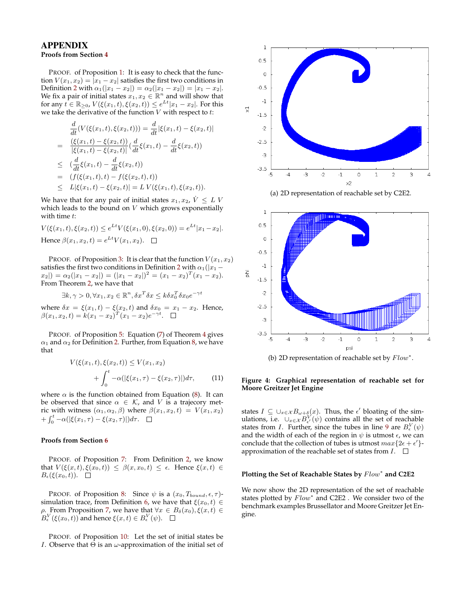# APPENDIX

# **Proofs from Section [4](#page-2-0)**

PROOF. of Proposition [1:](#page-2-7) It is easy to check that the function  $V(x_1, x_2) = |x_1 - x_2|$  satisfies the first two conditions in Definition [2](#page-2-2) with  $\alpha_1(|x_1 - x_2|) = \alpha_2(|x_1 - x_2|) = |x_1 - x_2|$ . We fix a pair of initial states  $x_1, x_2 \in \mathbb{R}^n$  and will show that for any  $t \in \mathbb{R}_{\geq 0}$ ,  $V(\xi(x_1, t), \xi(x_2, t)) \leq e^{Lt}|x_1 - x_2|$ . For this we take the derivative of the function  $V$  with respect to  $t$ :

$$
\frac{d}{dt}(V(\xi(x_1,t),\xi(x_2,t))) = \frac{d}{dt}|\xi(x_1,t) - \xi(x_2,t)|
$$
\n
$$
= \frac{(\xi(x_1,t) - \xi(x_2,t))}{|\xi(x_1,t) - \xi(x_2,t)|} \left(\frac{d}{dt}\xi(x_1,t) - \frac{d}{dt}\xi(x_2,t)\right)
$$
\n
$$
\leq \left(\frac{d}{dt}\xi(x_1,t) - \frac{d}{dt}\xi(x_2,t)\right)
$$
\n
$$
= (f(\xi(x_1,t),t) - f(\xi(x_2,t),t))
$$
\n
$$
\leq L|\xi(x_1,t) - \xi(x_2,t)| = L V(\xi(x_1,t),\xi(x_2,t)).
$$

We have that for any pair of initial states  $x_1, x_2, V \leq L V$ which leads to the bound on  $V$  which grows exponentially with time  $t$ :

 $V(\xi(x_1,t), \xi(x_2,t)) \leq e^{Lt} V(\xi(x_1,0), \xi(x_2,0)) = e^{Lt} |x_1-x_2|.$ Hence  $\beta(x_1, x_2, t) = e^{Lt} V(x_1, x_2)$ .

PROOF. of Proposition [3:](#page-3-3) It is clear that the function  $V(x_1, x_2)$ satisfies the first two conditions in Definition [2](#page-2-2) with  $\alpha_1(|x_1$  $x_2$ |) =  $\alpha_2(|x_1-x_2|) = (|x_1-x_2|)^2 = (x_1-x_2)^T(x_1-x_2).$ From Theorem [2,](#page-3-1) we have that

$$
\exists k, \gamma > 0, \forall x_1, x_2 \in \mathbb{R}^n, \delta x^T \delta x \leq k \delta x_0^T \delta x_0 e^{-\gamma t}
$$

where  $\delta x = \xi(x_1, t) - \xi(x_2, t)$  and  $\delta x_0 = x_1 - x_2$ . Hence,  $\beta(x_1, x_2, t) = k(x_1 - x_2)^T (x_1 - x_2) e^{-\gamma t}.$ 

PROOF. of Proposition [5:](#page-3-8) Equation [\(7\)](#page-3-4) of Theorem [4](#page-3-9) gives  $\alpha_1$  and  $\alpha_2$  for Definition [2.](#page-2-2) Further, from Equation [8,](#page-3-5) we have that

$$
V(\xi(x_1, t), \xi(x_2, t)) \le V(x_1, x_2)
$$
  
+ 
$$
\int_0^t -\alpha(|\xi(x_1, \tau) - \xi(x_2, \tau)|)d\tau,
$$
 (11)

where  $\alpha$  is the function obtained from Equation [\(8\)](#page-3-5). It can be observed that since  $\alpha \in \mathcal{K}$ , and V is a trajecory metric with witness  $(\alpha_1, \alpha_2, \beta)$  where  $\beta(x_1, x_2, t) = V(x_1, x_2)$  $+ \int_0^t -\alpha(|\xi(x_1, \tau) - \xi(x_2, \tau)|)d\tau.$ 

#### **Proofs from Section [6](#page-4-0)**

PROOF. of Proposition [7:](#page-5-12) From Definition [2,](#page-2-2) we know that  $V(\xi(x,t), \xi(x_0,t)) \leq \beta(x,x_0,t) \leq \epsilon$ . Hence  $\xi(x,t) \in$  $B_{\epsilon}(\xi(x_0,t))$ .  $\Box$ 

PROOF. of Proposition [8:](#page-5-5) Since  $\psi$  is a  $(x_0, T_{bound}, \epsilon, \tau)$ -simulation trace, from Definition [6,](#page-5-13) we have that  $\xi(x_0, t) \in$  $ρ.$  From Proposition [7,](#page-5-12) we have that  $∀x ∈ B<sub>δ</sub>(x<sub>0</sub>), ξ(x, t) ∈$  $B_{\epsilon}^{V}(\xi(x_0,t))$  and hence  $\xi(x,t) \in B_{\epsilon}^{V}(\psi)$ .

PROOF. of Proposition [10:](#page-6-4) Let the set of initial states be I. Observe that  $Θ$  is an  $ω$ -approximation of the initial set of



(a) 2D representation of reachable set by C2E2.



#### **Figure 4: Graphical representation of reachable set for Moore Greitzer Jet Engine**

states  $I \subseteq \bigcup_{x \in \mathcal{X}} B_{\omega+\delta}(x)$ . Thus, the  $\epsilon'$  bloating of the simulations, i.e.  $\cup_{x \in \mathcal{X}} B_{\epsilon'}^V(\psi)$  contains all the set of reachable states from *I*. Further, since the tubes in line [9](#page-5-4) are  $B_{\epsilon}^{V}(\psi)$ and the width of each of the region in  $\psi$  is utmost  $\epsilon$ , we can conclude that the collection of tubes is utmost  $max\{2\epsilon + \epsilon'\}$ approximation of the reachable set of states from  $I.$   $\Box$ 

# Plotting the Set of Reachable States by  $Flow$ <sup>\*</sup> and C2E2

We now show the 2D representation of the set of reachable states plotted by  $Flow^*$  and C2E2. We consider two of the benchmark examples Brussellator and Moore Greitzer Jet Engine.